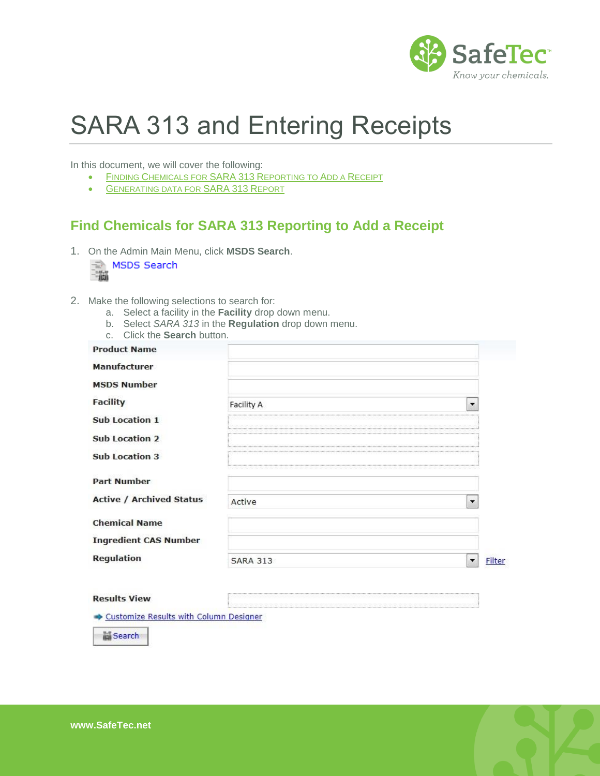

## SARA 313 and Entering Receipts

In this document, we will cover the following:

- **FINDING C[HEMICALS FOR](#page-0-0) SARA 313 REPORTING TO ADD A RECEIPT**
- **GENERATING DATA FOR SARA 313 REPORT**

## <span id="page-0-0"></span>**Find Chemicals for SARA 313 Reporting to Add a Receipt**

1. On the Admin Main Menu, click **MSDS Search**.

|  | MSDS Search |
|--|-------------|
|  |             |
|  |             |

- 2. Make the following selections to search for:
	- a. Select a facility in the **Facility** drop down menu.
	- b. Select *SARA 313* in the **Regulation** drop down menu.
	- c. Click the **Search** button.

| <b>Product Name</b>             |                 |                          |
|---------------------------------|-----------------|--------------------------|
| <b>Manufacturer</b>             |                 |                          |
| <b>MSDS Number</b>              |                 |                          |
| <b>Facility</b>                 | Facility A      | $\overline{\phantom{a}}$ |
| <b>Sub Location 1</b>           |                 |                          |
| <b>Sub Location 2</b>           |                 |                          |
| <b>Sub Location 3</b>           |                 |                          |
| <b>Part Number</b>              |                 |                          |
| <b>Active / Archived Status</b> | Active          | $\overline{\phantom{a}}$ |
| <b>Chemical Name</b>            |                 |                          |
| <b>Ingredient CAS Number</b>    |                 |                          |
| <b>Regulation</b>               | <b>SARA 313</b> |                          |

## **Results View**

Customize Results with Column Designer

Search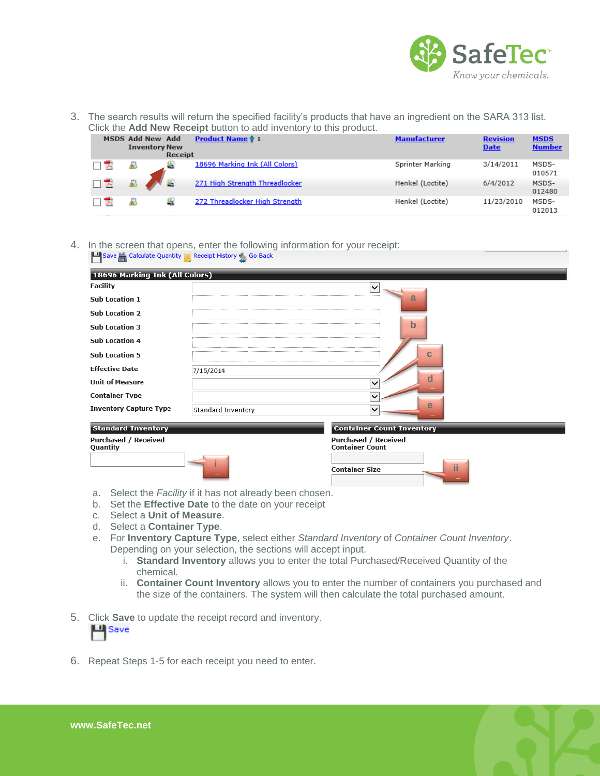

3. The search results will return the specified facility's products that have an ingredient on the SARA 313 list. Click the **Add New Receipt** button to add inventory to this product.

| <b>OTION LITO FUGH THE REPORT DUILOT TO QUU ILITOITUI TO LITIO PIOQUOL.</b> |                                                 |         |                                |                     |                                |                              |
|-----------------------------------------------------------------------------|-------------------------------------------------|---------|--------------------------------|---------------------|--------------------------------|------------------------------|
|                                                                             | <b>MSDS Add New Add</b><br><b>Inventory New</b> | Receipt | <b>Product Name ↑ 1</b>        | <b>Manufacturer</b> | <b>Revision</b><br><b>Date</b> | <b>MSDS</b><br><b>Number</b> |
| ™                                                                           |                                                 |         | 18696 Marking Ink (All Colors) | Sprinter Marking    | 3/14/2011                      | MSDS-<br>010571              |
| □ ᄌ                                                                         |                                                 |         | 271 High Strength Threadlocker | Henkel (Loctite)    | 6/4/2012                       | MSDS-<br>012480              |
| ਢ                                                                           |                                                 |         | 272 Threadlocker High Strength | Henkel (Loctite)    | 11/23/2010                     | MSDS-<br>012013              |

4. In the screen that opens, enter the following information for your receipt:<br> $\Box$  Save  $\Box$  Calculate Quantity  $\Box$  Receipt History  $\Diamond$  Go Back

| 18696 Marking Ink (All Colors)          |                    |                                                       |
|-----------------------------------------|--------------------|-------------------------------------------------------|
| <b>Facility</b>                         |                    | V                                                     |
| <b>Sub Location 1</b>                   |                    | a                                                     |
| <b>Sub Location 2</b>                   |                    |                                                       |
| <b>Sub Location 3</b>                   |                    | $\mathbf b$                                           |
| <b>Sub Location 4</b>                   |                    |                                                       |
| <b>Sub Location 5</b>                   |                    | C                                                     |
| <b>Effective Date</b>                   | 7/15/2014          |                                                       |
| <b>Unit of Measure</b>                  |                    | d                                                     |
| <b>Container Type</b>                   |                    | ╰                                                     |
| <b>Inventory Capture Type</b>           | Standard Inventory | e<br>◡                                                |
| <b>Standard Inventory</b>               |                    | <b>Container Count Inventory</b>                      |
| <b>Purchased / Received</b><br>Quantity |                    | <b>Purchased / Received</b><br><b>Container Count</b> |
|                                         |                    | ïi<br><b>Container Size</b>                           |

- a. Select the *Facility* if it has not already been chosen.
- b. Set the **Effective Date** to the date on your receipt
- c. Select a **Unit of Measure**.
- d. Select a **Container Type**.
- e. For **Inventory Capture Type**, select either *Standard Inventory* of *Container Count Inventory*. Depending on your selection, the sections will accept input.
	- i. **Standard Inventory** allows you to enter the total Purchased/Received Quantity of the chemical.
	- ii. **Container Count Inventory** allows you to enter the number of containers you purchased and the size of the containers. The system will then calculate the total purchased amount.
- 5. Click **Save** to update the receipt record and inventory.



6. Repeat Steps 1-5 for each receipt you need to enter.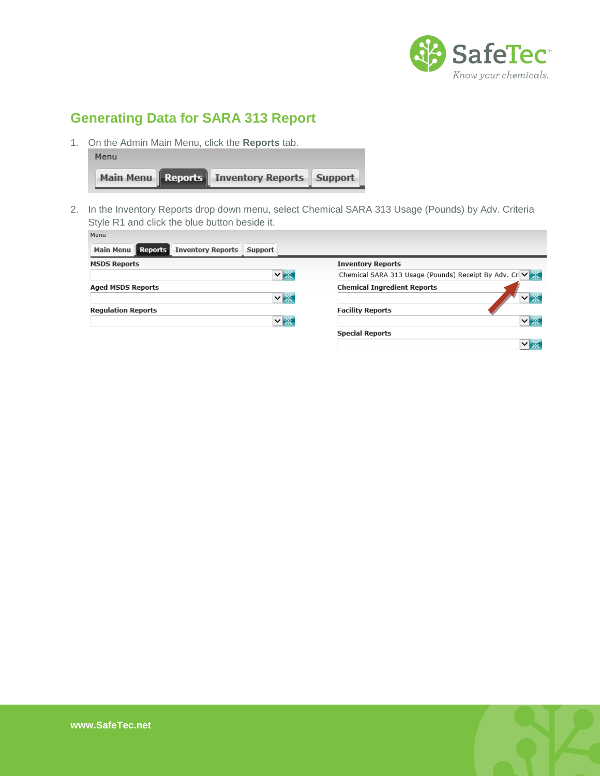

## **Generating Data for SARA 313 Report**

1. On the Admin Main Menu, click the **Reports** tab.

| Menu |                                                 |  |
|------|-------------------------------------------------|--|
|      | Main Menu Reports   Inventory Reports   Support |  |

2. In the Inventory Reports drop down menu, select Chemical SARA 313 Usage (Pounds) by Adv. Criteria Style R1 and click the blue button beside it.

| menu                                                 |           |                                                        |
|------------------------------------------------------|-----------|--------------------------------------------------------|
| Main Menu <b>Reports</b><br><b>Inventory Reports</b> | Support   |                                                        |
| <b>MSDS Reports</b>                                  |           | <b>Inventory Reports</b>                               |
|                                                      | <b>∨⊯</b> | Chemical SARA 313 Usage (Pounds) Receipt By Adv. Crive |
| <b>Aged MSDS Reports</b>                             |           | <b>Chemical Ingredient Reports</b>                     |
|                                                      | ▽ ※       |                                                        |
| <b>Regulation Reports</b>                            |           | <b>Facility Reports</b>                                |
|                                                      | ∨⊯        | $\vee$ as                                              |
|                                                      |           | <b>Special Reports</b>                                 |
|                                                      |           |                                                        |

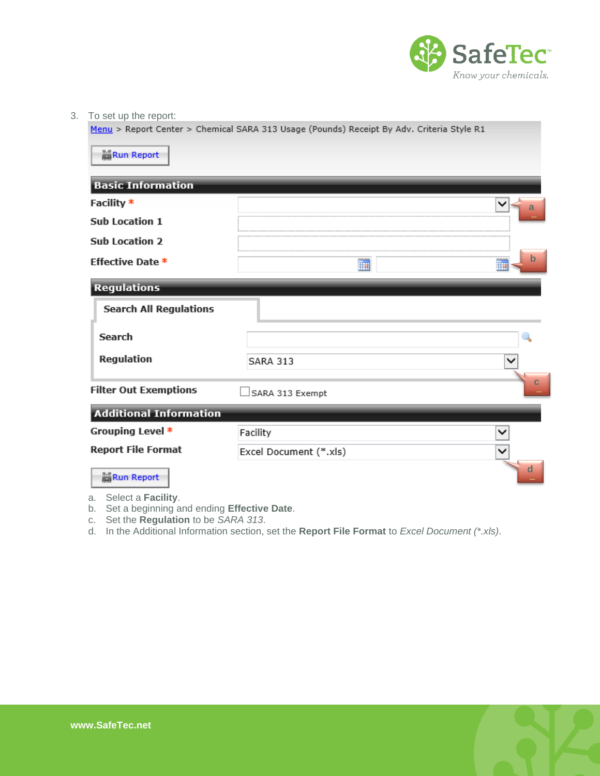

3. To set up the report:

Menu > Report Center > Chemical SARA 313 Usage (Pounds) Receipt By Adv. Criteria Style R1

| <b>Run Report</b>             |                        |              |
|-------------------------------|------------------------|--------------|
| <b>Basic Information</b>      |                        |              |
| Facility *                    |                        | а            |
| <b>Sub Location 1</b>         |                        |              |
| <b>Sub Location 2</b>         |                        |              |
| <b>Effective Date *</b>       | mon<br>訷               | b<br>₩       |
| <b>Regulations</b>            |                        |              |
| <b>Search All Regulations</b> |                        |              |
| Search                        |                        |              |
| Regulation                    | <b>SARA 313</b>        |              |
| <b>Filter Out Exemptions</b>  | □SARA 313 Exempt       |              |
| <b>Additional Information</b> |                        |              |
| Grouping Level *              | Facility               |              |
| <b>Report File Format</b>     | Excel Document (*.xls) |              |
| <b>Run Report</b>             |                        | $\mathbf{a}$ |

a. Select a **Facility**.

- b. Set a beginning and ending **Effective Date**.
- c. Set the **Regulation** to be *SARA 313*.
- d. In the Additional Information section, set the **Report File Format** to *Excel Document (\*.xls)*.